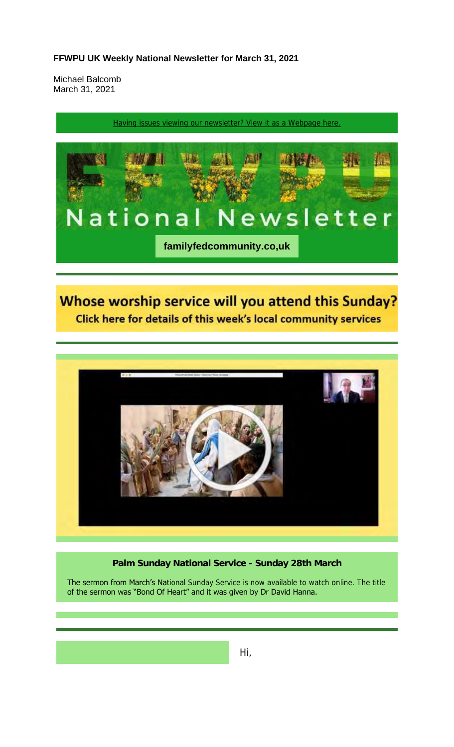#### **FFWPU UK Weekly National Newsletter for March 31, 2021**

Michael Balcomb March 31, 2021

Having issues viewing our newsletter? View it as a Webpage here.



# Whose worship service will you attend this Sunday? Click here for details of this week's local community services



#### **Palm Sunday National Service - Sunday 28th March**

The sermon from March's National Sunday Service is now available to watch online. The title of the sermon was "Bond Of Heart" and it was given by Dr David Hanna.

Hi,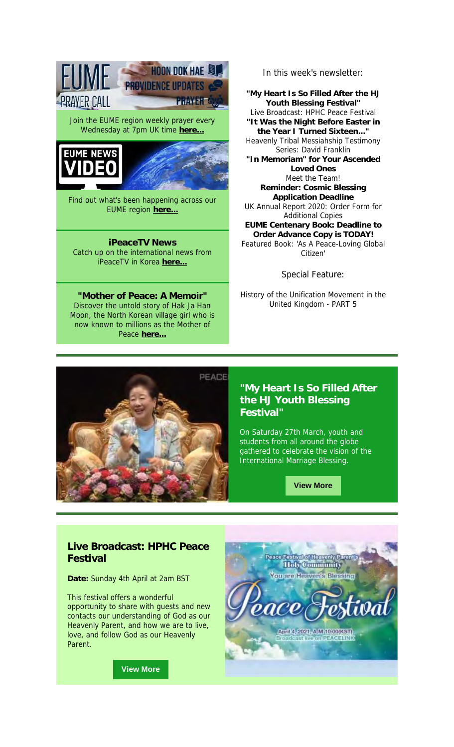**PRAYER CALL PRAYER®** Join the EUME region weekly prayer every Wednesday at 7pm UK time **here...**





**PROVIDENCE UPDATES** 

**HOON DOK HAE LA** 

Find out what's been happening across our EUME region **here...**

**iPeaceTV News** Catch up on the international news from iPeaceTV in Korea **here...**

**"Mother of Peace: A Memoir"** Discover the untold story of Hak Ja Han Moon, the North Korean village girl who is now known to millions as the Mother of Peace **here...**

In this week's newsletter:

**"My Heart Is So Filled After the HJ Youth Blessing Festival"** Live Broadcast: HPHC Peace Festival **"It Was the Night Before Easter in the Year I Turned Sixteen..."** Heavenly Tribal Messiahship Testimony Series: David Franklin **"In Memoriam" for Your Ascended Loved Ones** Meet the Team! **Reminder: Cosmic Blessing Application Deadline** UK Annual Report 2020: Order Form for Additional Copies **EUME Centenary Book: Deadline to Order Advance Copy is TODAY!** Featured Book: 'As A Peace-Loving Global Citizen'

Special Feature:

History of the Unification Movement in the United Kingdom - PART 5



#### **"My Heart Is So Filled After the HJ Youth Blessing Festival"**

On Saturday 27th March, youth and students from all around the globe gathered to celebrate the vision of the International Marriage Blessing.

**View More**

## **Live Broadcast: HPHC Peace Festival**

**Date:** Sunday 4th April at 2am BST

This festival offers a wonderful opportunity to share with guests and new contacts our understanding of God as our Heavenly Parent, and how we are to live, love, and follow God as our Heavenly Parent.

**View More**

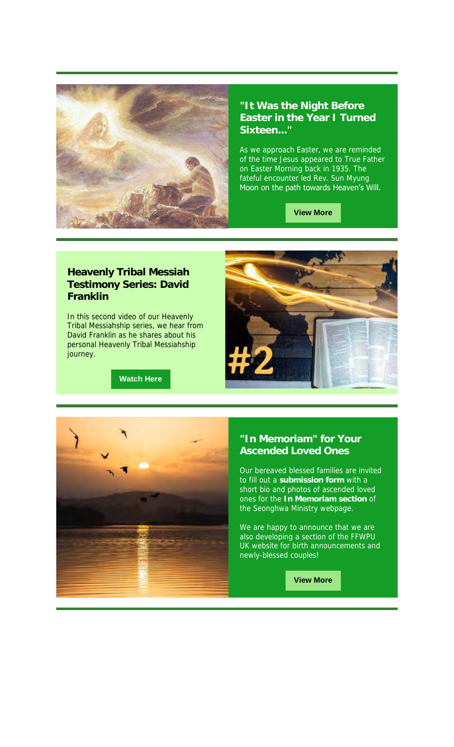

#### **"It Was the Night Before Easter in the Year I Turned**  Sixteen...

As we approach Easter, we are reminded of the time Jesus appeared to True Father on Easter Morning back in 1935. The fateful encounter led Rev. Sun Myung Moon on the path towards Heaven's Will.

**View More**

## **Heavenly Tribal Messiah Testimony Series: David Franklin**

In this second video of our Heavenly Tribal Messiahship series, we hear from David Franklin as he shares about his personal Heavenly Tribal Messiahship journey.

**Watch Here**



### **"In Memoriam" for Your Ascended Loved Ones**

Our bereaved blessed families are invited to fill out a **submission form** with a short bio and photos of ascended loved ones for the **In Memoriam section** of the Seonghwa Ministry webpage.

We are happy to announce that we are also developing a section of the FFWPU UK website for birth announcements and newly-blessed couples!

**View More**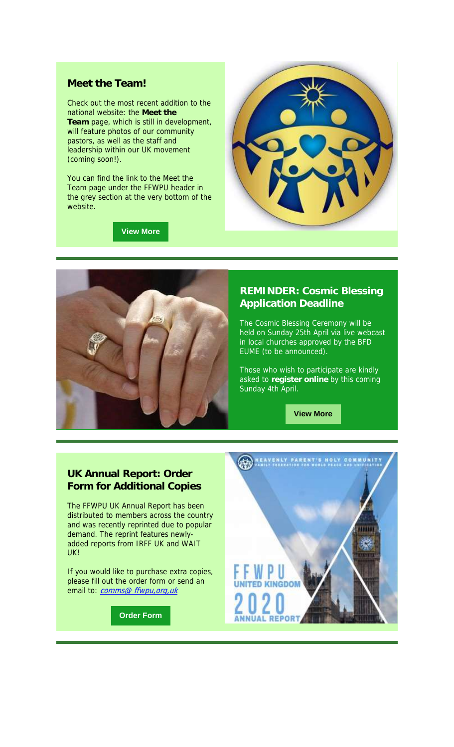#### **Meet the Team!**

Check out the most recent addition to the national website: the **Meet the Team** page, which is still in development, will feature photos of our community pastors, as well as the staff and leadership within our UK movement (coming soon!).

You can find the link to the Meet the Team page under the FFWPU header in the grey section at the very bottom of the website.

**View More**





#### **REMINDER: Cosmic Blessing Application Deadline**

The Cosmic Blessing Ceremony will be held on Sunday 25th April via live webcast in local churches approved by the BFD EUME (to be announced).

Those who wish to participate are kindly asked to **register online** by this coming Sunday 4th April.

**View More**

#### **UK Annual Report: Order Form for Additional Copies**

The FFWPU UK Annual Report has been distributed to members across the country and was recently reprinted due to popular demand. The reprint features newlyadded reports from IRFF UK and WAIT UK!

If you would like to purchase extra copies, please fill out the order form or send an email to: *comms@ ffwpu,org,uk* 

**Order Form**

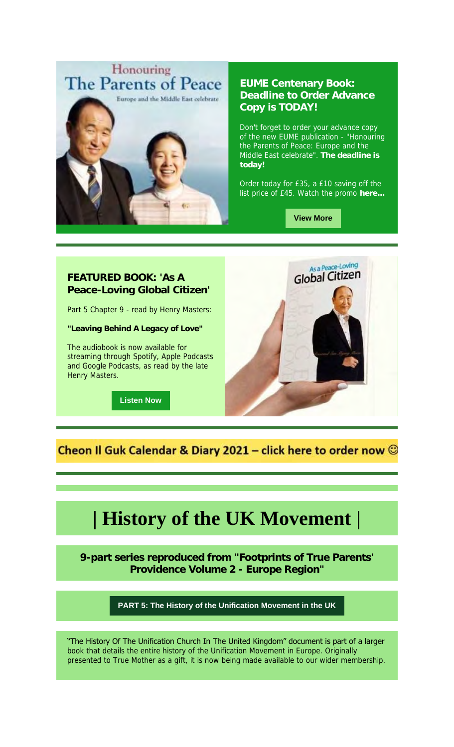

### **EUME Centenary Book: Deadline to Order Advance Copy is TODAY!**

Don't forget to order your advance copy of the new EUME publication - "Honouring the Parents of Peace: Europe and the Middle East celebrate". **The deadline is today!**

Order today for £35, a £10 saving off the list price of £45. Watch the promo **here...**

**View More**

#### **FEATURED BOOK: 'As A Peace-Loving Global Citizen'**

Part 5 Chapter 9 - read by Henry Masters:

**"Leaving Behind A Legacy of Love"**

The audiobook is now available for streaming through Spotify, Apple Podcasts and Google Podcasts, as read by the late Henry Masters.

**Listen Now**



Cheon II Guk Calendar & Diary 2021 - click here to order now  $\odot$ 

# **| History of the UK Movement |**

**9-part series reproduced from "Footprints of True Parents' Providence Volume 2 - Europe Region"**

**PART 5: The History of the Unification Movement in the UK**

"The History Of The Unification Church In The United Kingdom" document is part of a larger book that details the entire history of the Unification Movement in Europe. Originally presented to True Mother as a gift, it is now being made available to our wider membership.